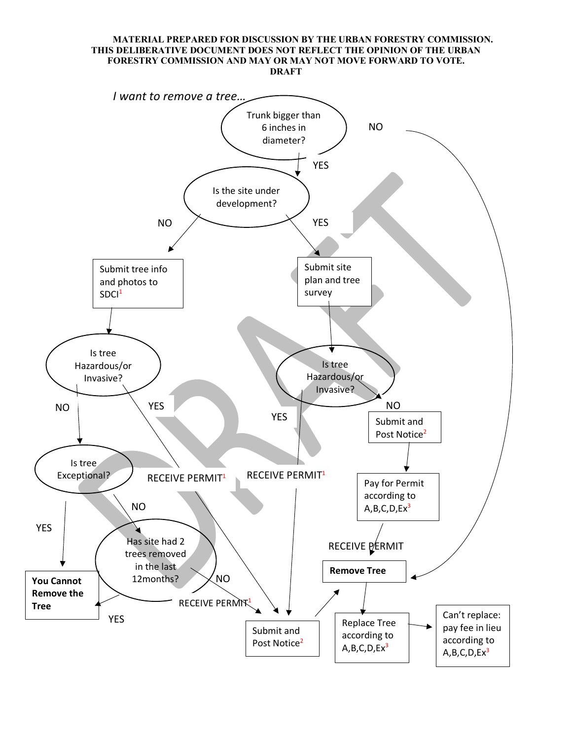#### **MATERIAL PREPARED FOR DISCUSSION BY THE URBAN FORESTRY COMMISSION. THIS DELIBERATIVE DOCUMENT DOES NOT REFLECT THE OPINION OF THE URBAN FORESTRY COMMISSION AND MAY OR MAY NOT MOVE FORWARD TO VOTE. DRAFT**